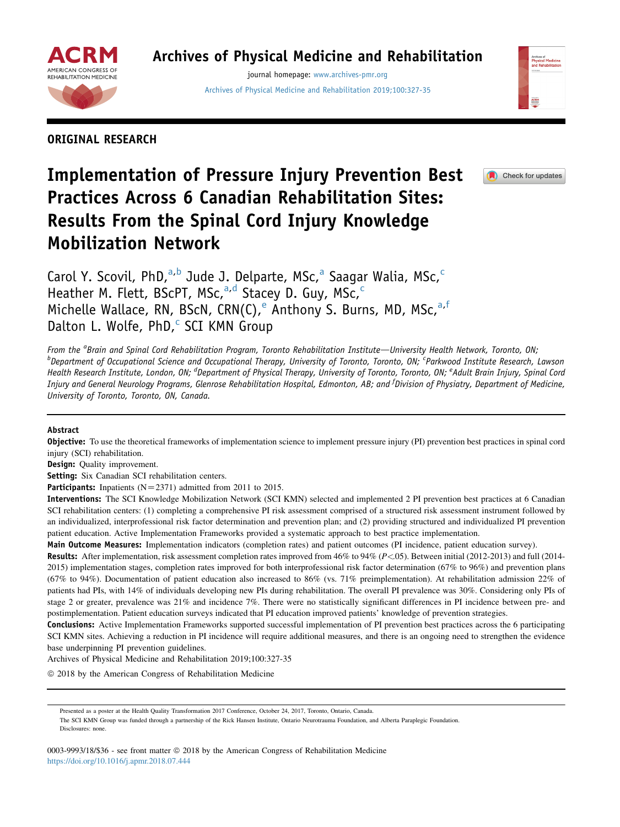

## Archives of Physical Medicine and Rehabilitation

journal homepage: [www.archives-pmr.org](http://www.archives-pmr.org) [Archives of Physical Medicine and Rehabilitation 2019;100:327-35](https://doi.org/10.1016/j.apmr.2018.07.444)



ORIGINAL RESEARCH

# Implementation of Pressure Injury Prevention Best Practices Across 6 Canadian Rehabilitation Sites: Results From the Spinal Cord Injury Knowledge Mobilization Network



Carol Y. Scovil, PhD,<sup>a,b</sup> Jude J. Delparte, MSc,<sup>a</sup> Saagar Walia, MSc,<sup>c</sup> Heather M. Flett, BScPT, MSc, $a,d$  Stacey D. Guy, MSc, $c$ Michelle Wallace, RN, BScN, CRN(C), Anthony S. Burns, MD, MSc,<sup>a,f</sup> Dalton L. Wolfe,  $PhD,^c$  SCI KMN Group

From the <sup>a</sup>Brain and Spinal Cord Rehabilitation Program, Toronto Rehabilitation Institute—University Health Network, Toronto, ON;<br><sup>b</sup>Donartment of Occupational Science and Occupational Therany, University of Terento, Desc Department of Occupational Science and Occupational Therapy, University of Toronto, Toronto, ON; <sup>c</sup>Parkwood Institute Research, Lawson Health Research Institute, London, ON; <sup>d</sup>Department of Physical Therapy, University of Toronto, Toronto, ON; <sup>e</sup>Adult Brain Injury, Spinal Cord Injury and General Neurology Programs, Glenrose Rehabilitation Hospital, Edmonton, AB; and <sup>f</sup>Division of Physiatry, Department of Medicine, University of Toronto, Toronto, ON, Canada.

## Abstract

**Objective:** To use the theoretical frameworks of implementation science to implement pressure injury (PI) prevention best practices in spinal cord injury (SCI) rehabilitation.

Design: Quality improvement.

Setting: Six Canadian SCI rehabilitation centers.

Participants: Inpatients ( $N=2371$ ) admitted from 2011 to 2015.

Interventions: The SCI Knowledge Mobilization Network (SCI KMN) selected and implemented 2 PI prevention best practices at 6 Canadian SCI rehabilitation centers: (1) completing a comprehensive PI risk assessment comprised of a structured risk assessment instrument followed by an individualized, interprofessional risk factor determination and prevention plan; and (2) providing structured and individualized PI prevention patient education. Active Implementation Frameworks provided a systematic approach to best practice implementation.

Main Outcome Measures: Implementation indicators (completion rates) and patient outcomes (PI incidence, patient education survey).

Results: After implementation, risk assessment completion rates improved from 46% to 94% (P<.05). Between initial (2012-2013) and full (2014-2015) implementation stages, completion rates improved for both interprofessional risk factor determination (67% to 96%) and prevention plans (67% to 94%). Documentation of patient education also increased to 86% (vs. 71% preimplementation). At rehabilitation admission 22% of patients had PIs, with 14% of individuals developing new PIs during rehabilitation. The overall PI prevalence was 30%. Considering only PIs of stage 2 or greater, prevalence was 21% and incidence 7%. There were no statistically significant differences in PI incidence between pre- and postimplementation. Patient education surveys indicated that PI education improved patients' knowledge of prevention strategies.

Conclusions: Active Implementation Frameworks supported successful implementation of PI prevention best practices across the 6 participating SCI KMN sites. Achieving a reduction in PI incidence will require additional measures, and there is an ongoing need to strengthen the evidence base underpinning PI prevention guidelines.

Archives of Physical Medicine and Rehabilitation 2019;100:327-35

 $©$  2018 by the American Congress of Rehabilitation Medicine

Presented as a poster at the Health Quality Transformation 2017 Conference, October 24, 2017, Toronto, Ontario, Canada.

The SCI KMN Group was funded through a partnership of the Rick Hansen Institute, Ontario Neurotrauma Foundation, and Alberta Paraplegic Foundation. Disclosures: none.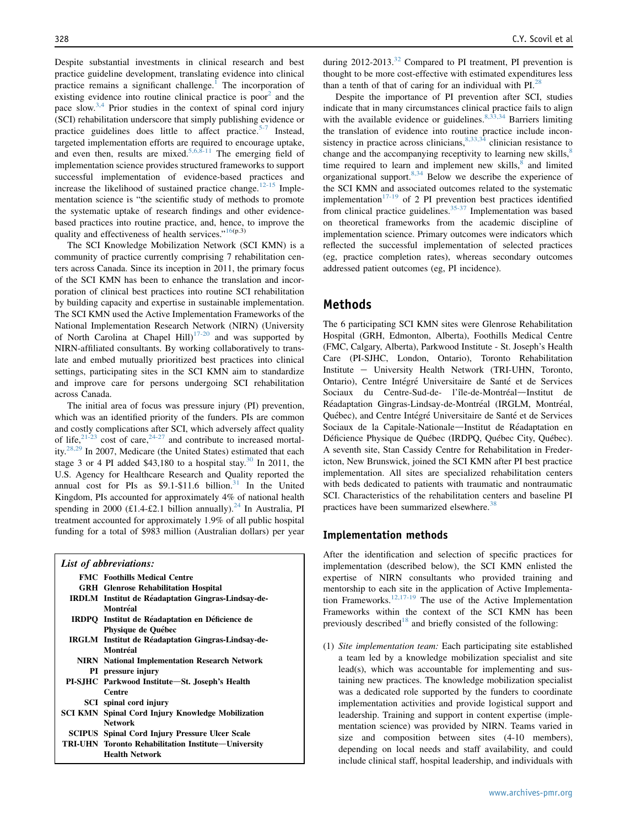Despite substantial investments in clinical research and best practice guideline development, translating evidence into clinical practice remains a significant challenge.<sup>[1](#page-7-0)</sup> The incorporation of existing evidence into routine clinical practice is poor<sup>[2](#page-7-0)</sup> and the pace slow.[3,4](#page-7-0) Prior studies in the context of spinal cord injury (SCI) rehabilitation underscore that simply publishing evidence or practice guidelines does little to affect practice.<sup>[5-7](#page-7-0)</sup> Instead, targeted implementation efforts are required to encourage uptake, and even then, results are mixed.<sup>[5,6,8-11](#page-7-0)</sup> The emerging field of implementation science provides structured frameworks to support successful implementation of evidence-based practices and increase the likelihood of sustained practice change.<sup>[12-15](#page-7-0)</sup> Implementation science is "the scientific study of methods to promote the systematic uptake of research findings and other evidencebased practices into routine practice, and, hence, to improve the quality and effectiveness of health services." $16(p.3)$  $16(p.3)$ 

The SCI Knowledge Mobilization Network (SCI KMN) is a community of practice currently comprising 7 rehabilitation centers across Canada. Since its inception in 2011, the primary focus of the SCI KMN has been to enhance the translation and incorporation of clinical best practices into routine SCI rehabilitation by building capacity and expertise in sustainable implementation. The SCI KMN used the Active Implementation Frameworks of the National Implementation Research Network (NIRN) (University of North Carolina at Chapel Hill $1^{17-20}$  $1^{17-20}$  $1^{17-20}$  and was supported by NIRN-affiliated consultants. By working collaboratively to translate and embed mutually prioritized best practices into clinical settings, participating sites in the SCI KMN aim to standardize and improve care for persons undergoing SCI rehabilitation across Canada.

The initial area of focus was pressure injury (PI) prevention, which was an identified priority of the funders. PIs are common and costly complications after SCI, which adversely affect quality of life,  $2^{1-23}$  cost of care,  $2^{4-27}$  and contribute to increased mortal-ity.<sup>[28,29](#page-7-0)</sup> In 2007, Medicare (the United States) estimated that each stage 3 or 4 PI added \$43,180 to a hospital stay.<sup>[30](#page-7-0)</sup> In 2011, the U.S. Agency for Healthcare Research and Quality reported the annual cost for PIs as  $$9.1-$11.6 billion.<sup>31</sup>$  $$9.1-$11.6 billion.<sup>31</sup>$  $$9.1-$11.6 billion.<sup>31</sup>$  In the United Kingdom, PIs accounted for approximately 4% of national health spending in 2000 (£1.4-£2.1 billion annually).<sup>[24](#page-7-0)</sup> In Australia, PI treatment accounted for approximately 1.9% of all public hospital funding for a total of \$983 million (Australian dollars) per year

| List of abbreviations:                                    |
|-----------------------------------------------------------|
| <b>FMC</b> Foothills Medical Centre                       |
| <b>GRH</b> Glenrose Rehabilitation Hospital               |
| IRDLM Institut de Réadaptation Gingras-Lindsay-de-        |
| Montréal                                                  |
| IRDPQ Institut de Réadaptation en Déficience de           |
| Physique de Québec                                        |
| <b>IRGLM</b> Institut de Réadaptation Gingras-Lindsay-de- |
| Montréal                                                  |
| <b>NIRN</b> National Implementation Research Network      |
| PI pressure injury                                        |
| PI-SJHC Parkwood Institute-St. Joseph's Health            |
| Centre                                                    |
| SCI spinal cord injury                                    |
| SCI KMN Spinal Cord Injury Knowledge Mobilization         |
| <b>Network</b>                                            |
| <b>SCIPUS</b> Spinal Cord Injury Pressure Ulcer Scale     |
| TRI-UHN Toronto Rehabilitation Institute-University       |
| <b>Health Network</b>                                     |

during  $2012-2013<sup>32</sup>$  $2012-2013<sup>32</sup>$  $2012-2013<sup>32</sup>$  Compared to PI treatment, PI prevention is thought to be more cost-effective with estimated expenditures less than a tenth of that of caring for an individual with  $PI^{28}$ .

Despite the importance of PI prevention after SCI, studies indicate that in many circumstances clinical practice fails to align with the available evidence or guidelines. $8,33,34$  Barriers limiting the translation of evidence into routine practice include inconsistency in practice across clinicians,  $8,33,34$  clinician resistance to change and the accompanying receptivity to learning new skills, $\frac{8}{3}$  $\frac{8}{3}$  $\frac{8}{3}$ time required to learn and implement new skills,<sup>[8](#page-7-0)</sup> and limited organizational support.<sup>[8,34](#page-7-0)</sup> Below we describe the experience of the SCI KMN and associated outcomes related to the systematic implementation<sup>[17-19](#page-7-0)</sup> of 2 PI prevention best practices identified from clinical practice guidelines. $35-37$  Implementation was based on theoretical frameworks from the academic discipline of implementation science. Primary outcomes were indicators which reflected the successful implementation of selected practices (eg, practice completion rates), whereas secondary outcomes addressed patient outcomes (eg, PI incidence).

## Methods

The 6 participating SCI KMN sites were Glenrose Rehabilitation Hospital (GRH, Edmonton, Alberta), Foothills Medical Centre (FMC, Calgary, Alberta), Parkwood Institute - St. Joseph's Health Care (PI-SJHC, London, Ontario), Toronto Rehabilitation Institute - University Health Network (TRI-UHN, Toronto, Ontario), Centre Intégré Universitaire de Santé et de Services Sociaux du Centre-Sud-de- l'île-de-Montréal-Institut de Réadaptation Gingras-Lindsay-de-Montréal (IRGLM, Montréal, Québec), and Centre Intégré Universitaire de Santé et de Services Sociaux de la Capitale-Nationale-Institut de Réadaptation en Déficience Physique de Québec (IRDPQ, Québec City, Québec). A seventh site, Stan Cassidy Centre for Rehabilitation in Fredericton, New Brunswick, joined the SCI KMN after PI best practice implementation. All sites are specialized rehabilitation centers with beds dedicated to patients with traumatic and nontraumatic SCI. Characteristics of the rehabilitation centers and baseline PI practices have been summarized elsewhere.<sup>[38](#page-8-0)</sup>

#### Implementation methods

After the identification and selection of specific practices for implementation (described below), the SCI KMN enlisted the expertise of NIRN consultants who provided training and mentorship to each site in the application of Active Implementa-tion Frameworks.<sup>[12,17-19](#page-7-0)</sup> The use of the Active Implementation Frameworks within the context of the SCI KMN has been previously described<sup>[18](#page-7-0)</sup> and briefly consisted of the following:

(1) Site implementation team: Each participating site established a team led by a knowledge mobilization specialist and site lead(s), which was accountable for implementing and sustaining new practices. The knowledge mobilization specialist was a dedicated role supported by the funders to coordinate implementation activities and provide logistical support and leadership. Training and support in content expertise (implementation science) was provided by NIRN. Teams varied in size and composition between sites (4-10 members), depending on local needs and staff availability, and could include clinical staff, hospital leadership, and individuals with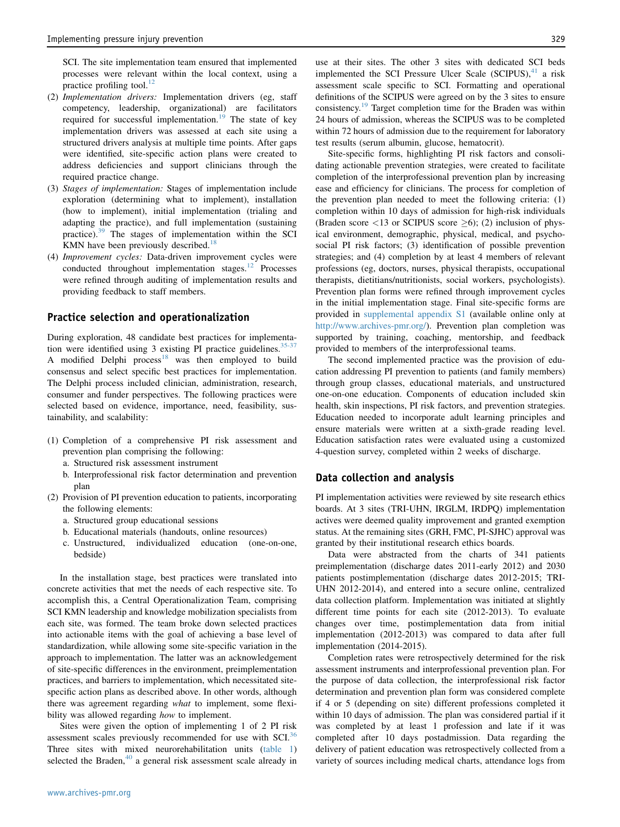SCI. The site implementation team ensured that implemented processes were relevant within the local context, using a practice profiling tool. $^{12}$  $^{12}$  $^{12}$ 

- (2) Implementation drivers: Implementation drivers (eg, staff competency, leadership, organizational) are facilitators required for successful implementation.<sup>[19](#page-7-0)</sup> The state of key implementation drivers was assessed at each site using a structured drivers analysis at multiple time points. After gaps were identified, site-specific action plans were created to address deficiencies and support clinicians through the required practice change.
- (3) Stages of implementation: Stages of implementation include exploration (determining what to implement), installation (how to implement), initial implementation (trialing and adapting the practice), and full implementation (sustaining practice).[39](#page-8-0) The stages of implementation within the SCI KMN have been previously described.<sup>[18](#page-7-0)</sup>
- (4) Improvement cycles: Data-driven improvement cycles were conducted throughout implementation stages.<sup>12</sup> Processes were refined through auditing of implementation results and providing feedback to staff members.

#### Practice selection and operationalization

During exploration, 48 candidate best practices for implementation were identified using 3 existing PI practice guidelines.  $35-37$ A modified Delphi process<sup>[18](#page-7-0)</sup> was then employed to build consensus and select specific best practices for implementation. The Delphi process included clinician, administration, research, consumer and funder perspectives. The following practices were selected based on evidence, importance, need, feasibility, sustainability, and scalability:

- (1) Completion of a comprehensive PI risk assessment and prevention plan comprising the following:
	- a. Structured risk assessment instrument
	- b. Interprofessional risk factor determination and prevention plan
- (2) Provision of PI prevention education to patients, incorporating the following elements:
	- a. Structured group educational sessions
	- b. Educational materials (handouts, online resources)
	- c. Unstructured, individualized education (one-on-one, bedside)

In the installation stage, best practices were translated into concrete activities that met the needs of each respective site. To accomplish this, a Central Operationalization Team, comprising SCI KMN leadership and knowledge mobilization specialists from each site, was formed. The team broke down selected practices into actionable items with the goal of achieving a base level of standardization, while allowing some site-specific variation in the approach to implementation. The latter was an acknowledgement of site-specific differences in the environment, preimplementation practices, and barriers to implementation, which necessitated sitespecific action plans as described above. In other words, although there was agreement regarding what to implement, some flexibility was allowed regarding how to implement.

Sites were given the option of implementing 1 of 2 PI risk assessment scales previously recommended for use with SCI.<sup>[36](#page-7-0)</sup> Three sites with mixed neurorehabilitation units [\(table 1](#page-3-0)) selected the Braden, $40$  a general risk assessment scale already in

use at their sites. The other 3 sites with dedicated SCI beds implemented the SCI Pressure Ulcer Scale  $(SCIPUS)$ ,<sup>[41](#page-8-0)</sup> a risk assessment scale specific to SCI. Formatting and operational definitions of the SCIPUS were agreed on by the 3 sites to ensure consistency.[19](#page-7-0) Target completion time for the Braden was within 24 hours of admission, whereas the SCIPUS was to be completed within 72 hours of admission due to the requirement for laboratory test results (serum albumin, glucose, hematocrit).

Site-specific forms, highlighting PI risk factors and consolidating actionable prevention strategies, were created to facilitate completion of the interprofessional prevention plan by increasing ease and efficiency for clinicians. The process for completion of the prevention plan needed to meet the following criteria: (1) completion within 10 days of admission for high-risk individuals (Braden score  $\langle 13 \text{ or SCIPUS score } \rangle$ ); (2) inclusion of physical environment, demographic, physical, medical, and psychosocial PI risk factors; (3) identification of possible prevention strategies; and (4) completion by at least 4 members of relevant professions (eg, doctors, nurses, physical therapists, occupational therapists, dietitians/nutritionists, social workers, psychologists). Prevention plan forms were refined through improvement cycles in the initial implementation stage. Final site-specific forms are provided in supplemental appendix S1 (available online only at <http://www.archives-pmr.org/>). Prevention plan completion was supported by training, coaching, mentorship, and feedback provided to members of the interprofessional teams.

The second implemented practice was the provision of education addressing PI prevention to patients (and family members) through group classes, educational materials, and unstructured one-on-one education. Components of education included skin health, skin inspections, PI risk factors, and prevention strategies. Education needed to incorporate adult learning principles and ensure materials were written at a sixth-grade reading level. Education satisfaction rates were evaluated using a customized 4-question survey, completed within 2 weeks of discharge.

#### Data collection and analysis

PI implementation activities were reviewed by site research ethics boards. At 3 sites (TRI-UHN, IRGLM, IRDPQ) implementation actives were deemed quality improvement and granted exemption status. At the remaining sites (GRH, FMC, PI-SJHC) approval was granted by their institutional research ethics boards.

Data were abstracted from the charts of 341 patients preimplementation (discharge dates 2011-early 2012) and 2030 patients postimplementation (discharge dates 2012-2015; TRI-UHN 2012-2014), and entered into a secure online, centralized data collection platform. Implementation was initiated at slightly different time points for each site (2012-2013). To evaluate changes over time, postimplementation data from initial implementation (2012-2013) was compared to data after full implementation (2014-2015).

Completion rates were retrospectively determined for the risk assessment instruments and interprofessional prevention plan. For the purpose of data collection, the interprofessional risk factor determination and prevention plan form was considered complete if 4 or 5 (depending on site) different professions completed it within 10 days of admission. The plan was considered partial if it was completed by at least 1 profession and late if it was completed after 10 days postadmission. Data regarding the delivery of patient education was retrospectively collected from a variety of sources including medical charts, attendance logs from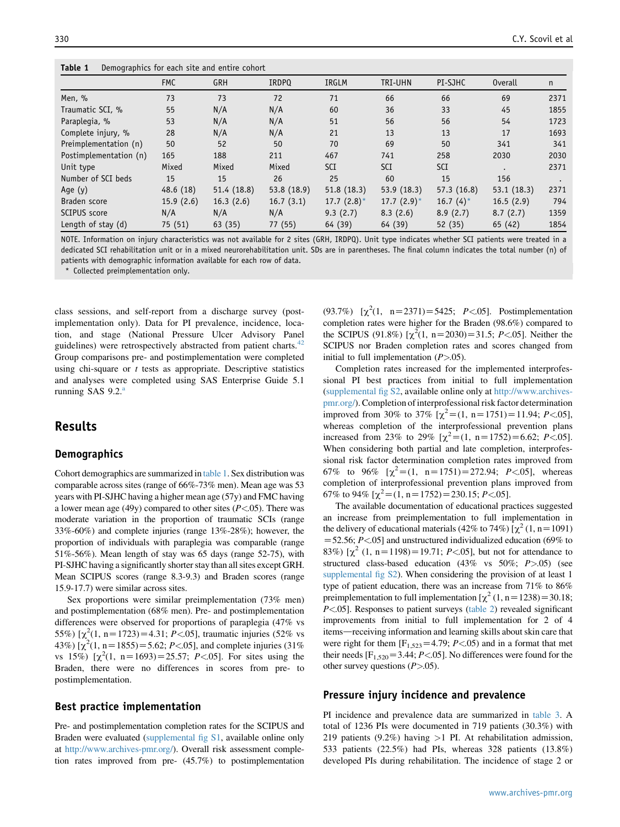<span id="page-3-0"></span>

| Demographics for each site and entire cohort<br>Table 1 |  |
|---------------------------------------------------------|--|
|---------------------------------------------------------|--|

| $1000C +$<br><b>Demographies</b> for each site and entire conore |            |             |              |                |               |              |                |      |
|------------------------------------------------------------------|------------|-------------|--------------|----------------|---------------|--------------|----------------|------|
|                                                                  | <b>FMC</b> | <b>GRH</b>  | <b>IRDPO</b> | IRGLM          | TRI-UHN       | PI-SJHC      | <b>Overall</b> | n    |
| Men, %                                                           | 73         | 73          | 72           | 71             | 66            | 66           | 69             | 2371 |
| Traumatic SCI, %                                                 | 55         | N/A         | N/A          | 60             | 36            | 33           | 45             | 1855 |
| Paraplegia, %                                                    | 53         | N/A         | N/A          | 51             | 56            | 56           | 54             | 1723 |
| Complete injury, %                                               | 28         | N/A         | N/A          | 21             | 13            | 13           | 17             | 1693 |
| Preimplementation (n)                                            | 50         | 52          | 50           | 70             | 69            | 50           | 341            | 341  |
| Postimplementation (n)                                           | 165        | 188         | 211          | 467            | 741           | 258          | 2030           | 2030 |
| Unit type                                                        | Mixed      | Mixed       | Mixed        | <b>SCI</b>     | SCI           | <b>SCI</b>   |                | 2371 |
| Number of SCI beds                                               | 15         | 15          | 26           | 25             | 60            | 15           | 156            |      |
| Age $(y)$                                                        | 48.6(18)   | 51.4 (18.8) | 53.8 (18.9)  | 51.8(18.3)     | 53.9(18.3)    | 57.3(16.8)   | 53.1(18.3)     | 2371 |
| Braden score                                                     | 15.9(2.6)  | 16.3(2.6)   | 16.7(3.1)    | 17.7 $(2.8)^*$ | $17.7(2.9)$ * | 16.7 $(4)^*$ | 16.5(2.9)      | 794  |
| SCIPUS score                                                     | N/A        | N/A         | N/A          | 9.3(2.7)       | 8.3(2.6)      | 8.9(2.7)     | 8.7(2.7)       | 1359 |
| Length of stay (d)                                               | 75 (51)    | 63(35)      | 77 (55)      | 64 (39)        | 64 (39)       | 52(35)       | 65 (42)        | 1854 |

NOTE. Information on injury characteristics was not available for 2 sites (GRH, IRDPQ). Unit type indicates whether SCI patients were treated in a dedicated SCI rehabilitation unit or in a mixed neurorehabilitation unit. SDs are in parentheses. The final column indicates the total number (n) of patients with demographic information available for each row of data.

Collected preimplementation only.

class sessions, and self-report from a discharge survey (postimplementation only). Data for PI prevalence, incidence, location, and stage (National Pressure Ulcer Advisory Panel guidelines) were retrospectively abstracted from patient charts.<sup>[42](#page-8-0)</sup> Group comparisons pre- and postimplementation were completed using chi-square or  $t$  tests as appropriate. Descriptive statistics and analyses were completed using SAS Enterprise Guide 5.1 running SAS  $9.2<sup>a</sup>$ 

## Results

#### Demographics

Cohort demographics are summarized in table 1. Sex distribution was comparable across sites (range of 66%-73% men). Mean age was 53 years with PI-SJHC having a higher mean age (57y) and FMC having a lower mean age (49y) compared to other sites  $(P<.05)$ . There was moderate variation in the proportion of traumatic SCIs (range 33%-60%) and complete injuries (range 13%-28%); however, the proportion of individuals with paraplegia was comparable (range 51%-56%). Mean length of stay was 65 days (range 52-75), with PI-SJHC having a significantly shorter stay than all sites except GRH. Mean SCIPUS scores (range 8.3-9.3) and Braden scores (range 15.9-17.7) were similar across sites.

Sex proportions were similar preimplementation (73% men) and postimplementation (68% men). Pre- and postimplementation differences were observed for proportions of paraplegia (47% vs 55%)  $[\chi^2(1, n=1723)=4.31; P<.05]$ , traumatic injuries (52% vs 43%)  $[\chi^2(1, n=1855)=5.62; P<.05]$ , and complete injuries (31%) vs 15%)  $[\chi^2(1, n=1693)=25.57; P<.05]$ . For sites using the Braden, there were no differences in scores from pre- to postimplementation.

#### Best practice implementation

Pre- and postimplementation completion rates for the SCIPUS and Braden were evaluated (supplemental fig S1, available online only at [http://www.archives-pmr.org/\)](http://www.archives-pmr.org/). Overall risk assessment completion rates improved from pre- (45.7%) to postimplementation

(93.7%)  $[\chi^2(1, n=2371)=5425; P<.05]$ . Postimplementation completion rates were higher for the Braden (98.6%) compared to the SCIPUS (91.8%)  $[\chi^2(1, n=2030)=31.5; P<.05]$ . Neither the SCIPUS nor Braden completion rates and scores changed from initial to full implementation  $(P>0.05)$ .

Completion rates increased for the implemented interprofessional PI best practices from initial to full implementation (supplemental fig S2, available online only at [http://www.archives](http://www.archives-pmr.org/)[pmr.org/](http://www.archives-pmr.org/)). Completion of interprofessional risk factor determination improved from 30% to 37%  $[\chi^2 = (1, n = 1751) = 11.94; P < .05]$ , whereas completion of the interprofessional prevention plans increased from 23% to 29%  $[\chi^2 = (1, n = 1752) = 6.62; P < .05]$ . When considering both partial and late completion, interprofessional risk factor determination completion rates improved from 67% to 96%  $[\chi^2 = (1, n = 1751) = 272.94; P < .05]$ , whereas completion of interprofessional prevention plans improved from 67% to 94%  $[\chi^2 = (1, n = 1752) = 230.15; P < 0.05]$ .

The available documentation of educational practices suggested an increase from preimplementation to full implementation in the delivery of educational materials (42% to 74%)  $[\chi^2(1, n=1091)]$  $=$  52.56; P < 05] and unstructured individualized education (69% to 83%)  $[\chi^2 (1, n=1198) = 19.71; P < .05]$ , but not for attendance to structured class-based education (43% vs 50%; P>.05) (see supplemental fig S2). When considering the provision of at least 1 type of patient education, there was an increase from 71% to 86% preimplementation to full implementation  $[\chi^2 (1, n=1238) = 30.18;$  $P \le 0.05$ ]. Responses to patient surveys [\(table 2\)](#page-4-0) revealed significant improvements from initial to full implementation for 2 of 4 items-receiving information and learning skills about skin care that were right for them  $[F<sub>1,523</sub>=4.79; P<.05)$  and in a format that met their needs  $[F_{1,520} = 3.44; P < .05]$ . No differences were found for the other survey questions  $(P>0.05)$ .

#### Pressure injury incidence and prevalence

PI incidence and prevalence data are summarized in [table 3](#page-4-0). A total of 1236 PIs were documented in 719 patients (30.3%) with 219 patients (9.2%) having  $>1$  PI. At rehabilitation admission, 533 patients (22.5%) had PIs, whereas 328 patients (13.8%) developed PIs during rehabilitation. The incidence of stage 2 or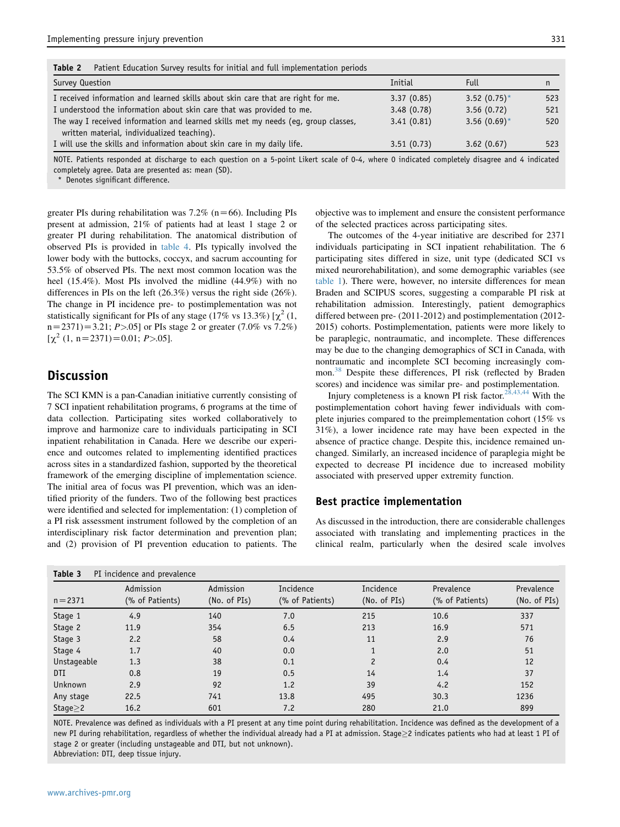<span id="page-4-0"></span>Table 2 Patient Education Survey results for initial and full implementation periods

| Survey Question                                                                    | Initial    | <b>Full</b>     |     |
|------------------------------------------------------------------------------------|------------|-----------------|-----|
| I received information and learned skills about skin care that are right for me.   | 3.37(0.85) | 3.52 $(0.75)^*$ | 523 |
| I understood the information about skin care that was provided to me.              | 3.48(0.78) | 3.56(0.72)      | 521 |
| The way I received information and learned skills met my needs (eq, group classes, | 3.41(0.81) | 3.56 $(0.69)$ * | 520 |
| written material, individualized teaching).                                        |            |                 |     |
| I will use the skills and information about skin care in my daily life.            | 3.51(0.73) | 3.62(0.67)      | 523 |

NOTE. Patients responded at discharge to each question on a 5-point Likert scale of 0-4, where 0 indicated completely disagree and 4 indicated completely agree. Data are presented as: mean (SD).

Denotes significant difference.

greater PIs during rehabilitation was  $7.2\%$  (n=66). Including PIs present at admission, 21% of patients had at least 1 stage 2 or greater PI during rehabilitation. The anatomical distribution of observed PIs is provided in [table 4.](#page-5-0) PIs typically involved the lower body with the buttocks, coccyx, and sacrum accounting for 53.5% of observed PIs. The next most common location was the heel (15.4%). Most PIs involved the midline (44.9%) with no differences in PIs on the left (26.3%) versus the right side (26%). The change in PI incidence pre- to postimplementation was not statistically significant for PIs of any stage (17% vs 13.3%)  $[\chi^2(1, \chi^2(1)]$  $n=2371$ ) $=3.21; P>0.05$ ] or PIs stage 2 or greater (7.0% vs 7.2%)  $[\chi^2 (1, n=2371)=0.01; P>0.05]$ .

## **Discussion**

The SCI KMN is a pan-Canadian initiative currently consisting of 7 SCI inpatient rehabilitation programs, 6 programs at the time of data collection. Participating sites worked collaboratively to improve and harmonize care to individuals participating in SCI inpatient rehabilitation in Canada. Here we describe our experience and outcomes related to implementing identified practices across sites in a standardized fashion, supported by the theoretical framework of the emerging discipline of implementation science. The initial area of focus was PI prevention, which was an identified priority of the funders. Two of the following best practices were identified and selected for implementation: (1) completion of a PI risk assessment instrument followed by the completion of an interdisciplinary risk factor determination and prevention plan; and (2) provision of PI prevention education to patients. The objective was to implement and ensure the consistent performance of the selected practices across participating sites.

The outcomes of the 4-year initiative are described for 2371 individuals participating in SCI inpatient rehabilitation. The 6 participating sites differed in size, unit type (dedicated SCI vs mixed neurorehabilitation), and some demographic variables (see [table 1\)](#page-3-0). There were, however, no intersite differences for mean Braden and SCIPUS scores, suggesting a comparable PI risk at rehabilitation admission. Interestingly, patient demographics differed between pre- (2011-2012) and postimplementation (2012- 2015) cohorts. Postimplementation, patients were more likely to be paraplegic, nontraumatic, and incomplete. These differences may be due to the changing demographics of SCI in Canada, with nontraumatic and incomplete SCI becoming increasingly common.[38](#page-8-0) Despite these differences, PI risk (reflected by Braden scores) and incidence was similar pre- and postimplementation.

Injury completeness is a known PI risk factor.<sup>[28,43,44](#page-7-0)</sup> With the postimplementation cohort having fewer individuals with complete injuries compared to the preimplementation cohort (15% vs 31%), a lower incidence rate may have been expected in the absence of practice change. Despite this, incidence remained unchanged. Similarly, an increased incidence of paraplegia might be expected to decrease PI incidence due to increased mobility associated with preserved upper extremity function.

#### Best practice implementation

As discussed in the introduction, there are considerable challenges associated with translating and implementing practices in the clinical realm, particularly when the desired scale involves

| Table 3        | PI incidence and prevalence  |                           |                              |                           |                               |                            |
|----------------|------------------------------|---------------------------|------------------------------|---------------------------|-------------------------------|----------------------------|
| $n = 2371$     | Admission<br>(% of Patients) | Admission<br>(No. of PIs) | Incidence<br>(% of Patients) | Incidence<br>(No. of PIs) | Prevalence<br>(% of Patients) | Prevalence<br>(No. of PIs) |
| Stage 1        | 4.9                          | 140                       | 7.0                          | 215                       | 10.6                          | 337                        |
| Stage 2        | 11.9                         | 354                       | 6.5                          | 213                       | 16.9                          | 571                        |
| Stage 3        | 2.2                          | 58                        | 0.4                          | 11                        | 2.9                           | 76                         |
| Stage 4        | 1.7                          | 40                        | 0.0                          |                           | 2.0                           | 51                         |
| Unstageable    | 1.3                          | 38                        | 0.1                          | 2                         | 0.4                           | 12                         |
| DTI            | 0.8                          | 19                        | 0.5                          | 14                        | 1.4                           | 37                         |
| Unknown        | 2.9                          | 92                        | 1.2                          | 39                        | 4.2                           | 152                        |
| Any stage      | 22.5                         | 741                       | 13.8                         | 495                       | 30.3                          | 1236                       |
| Stage $\geq$ 2 | 16.2                         | 601                       | 7.2                          | 280                       | 21.0                          | 899                        |

NOTE. Prevalence was defined as individuals with a PI present at any time point during rehabilitation. Incidence was defined as the development of a new PI during rehabilitation, regardless of whether the individual already had a PI at admission. Stage > 2 indicates patients who had at least 1 PI of stage 2 or greater (including unstageable and DTI, but not unknown).

Abbreviation: DTI, deep tissue injury.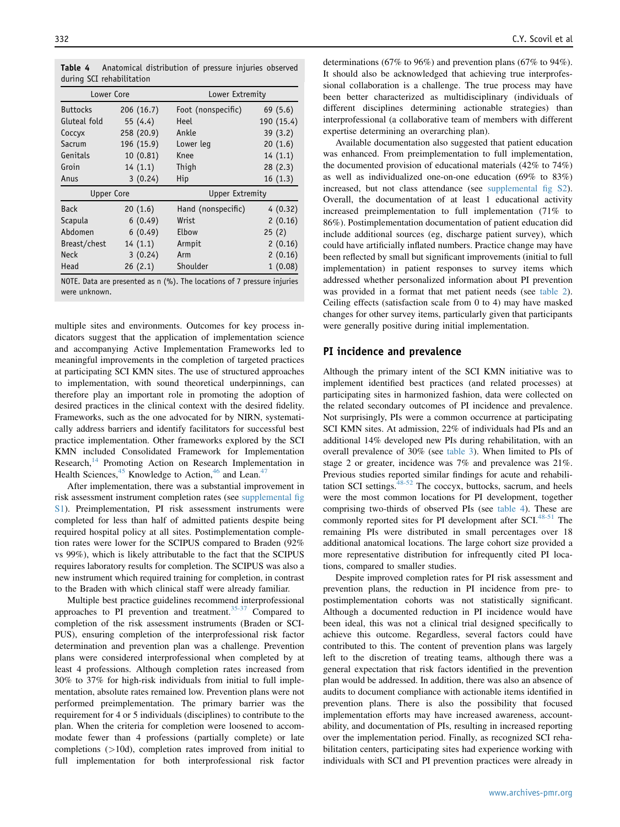| Lower Core      |            | Lower Extremity        |            |  |  |
|-----------------|------------|------------------------|------------|--|--|
| <b>Buttocks</b> | 206(16.7)  | Foot (nonspecific)     | 69(5.6)    |  |  |
| Gluteal fold    | 55 (4.4)   | Heel                   | 190 (15.4) |  |  |
| Coccyx          | 258 (20.9) | Ankle                  | 39(3.2)    |  |  |
| Sacrum          | 196 (15.9) | Lower leg              | 20(1.6)    |  |  |
| Genitals        | 10(0.81)   | Knee                   | 14(1.1)    |  |  |
| Groin           | 14(1.1)    | Thigh                  | 28(2.3)    |  |  |
| Anus            | 3(0.24)    | Hip                    | 16(1.3)    |  |  |
| Upper Core      |            | <b>Upper Extremity</b> |            |  |  |
| <b>Back</b>     | 20(1.6)    | Hand (nonspecific)     | 4(0.32)    |  |  |
| Scapula         | 6(0.49)    | Wrist                  | 2(0.16)    |  |  |
| Abdomen         | 6(0.49)    | Elbow                  | 25(2)      |  |  |
| Breast/chest    | 14(1.1)    | Armpit                 | 2(0.16)    |  |  |
| <b>Neck</b>     | 3(0.24)    | Arm                    | 2(0.16)    |  |  |
| Head            | 26(2.1)    | Shoulder               | 1(0.08)    |  |  |

<span id="page-5-0"></span>Table 4 Anatomical distribution of pressure injuries observed during SCI rehabilitation

NOTE. Data are presented as n (%). The locations of 7 pressure injuries were unknown.

multiple sites and environments. Outcomes for key process indicators suggest that the application of implementation science and accompanying Active Implementation Frameworks led to meaningful improvements in the completion of targeted practices at participating SCI KMN sites. The use of structured approaches to implementation, with sound theoretical underpinnings, can therefore play an important role in promoting the adoption of desired practices in the clinical context with the desired fidelity. Frameworks, such as the one advocated for by NIRN, systematically address barriers and identify facilitators for successful best practice implementation. Other frameworks explored by the SCI KMN included Consolidated Framework for Implementation Research,<sup>[14](#page-7-0)</sup> Promoting Action on Research Implementation in Health Sciences,<sup>[45](#page-8-0)</sup> Knowledge to Action,<sup>[46](#page-8-0)</sup> and Lean.<sup>[47](#page-8-0)</sup>

After implementation, there was a substantial improvement in risk assessment instrument completion rates (see supplemental fig S1). Preimplementation, PI risk assessment instruments were completed for less than half of admitted patients despite being required hospital policy at all sites. Postimplementation completion rates were lower for the SCIPUS compared to Braden (92% vs 99%), which is likely attributable to the fact that the SCIPUS requires laboratory results for completion. The SCIPUS was also a new instrument which required training for completion, in contrast to the Braden with which clinical staff were already familiar.

Multiple best practice guidelines recommend interprofessional approaches to PI prevention and treatment. $35-37$  Compared to completion of the risk assessment instruments (Braden or SCI-PUS), ensuring completion of the interprofessional risk factor determination and prevention plan was a challenge. Prevention plans were considered interprofessional when completed by at least 4 professions. Although completion rates increased from 30% to 37% for high-risk individuals from initial to full implementation, absolute rates remained low. Prevention plans were not performed preimplementation. The primary barrier was the requirement for 4 or 5 individuals (disciplines) to contribute to the plan. When the criteria for completion were loosened to accommodate fewer than 4 professions (partially complete) or late completions (>10d), completion rates improved from initial to full implementation for both interprofessional risk factor determinations (67% to 96%) and prevention plans (67% to 94%). It should also be acknowledged that achieving true interprofessional collaboration is a challenge. The true process may have been better characterized as multidisciplinary (individuals of different disciplines determining actionable strategies) than interprofessional (a collaborative team of members with different expertise determining an overarching plan).

Available documentation also suggested that patient education was enhanced. From preimplementation to full implementation, the documented provision of educational materials (42% to 74%) as well as individualized one-on-one education (69% to 83%) increased, but not class attendance (see supplemental fig S2). Overall, the documentation of at least 1 educational activity increased preimplementation to full implementation (71% to 86%). Postimplementation documentation of patient education did include additional sources (eg, discharge patient survey), which could have artificially inflated numbers. Practice change may have been reflected by small but significant improvements (initial to full implementation) in patient responses to survey items which addressed whether personalized information about PI prevention was provided in a format that met patient needs (see [table 2](#page-4-0)). Ceiling effects (satisfaction scale from 0 to 4) may have masked changes for other survey items, particularly given that participants were generally positive during initial implementation.

#### PI incidence and prevalence

Although the primary intent of the SCI KMN initiative was to implement identified best practices (and related processes) at participating sites in harmonized fashion, data were collected on the related secondary outcomes of PI incidence and prevalence. Not surprisingly, PIs were a common occurrence at participating SCI KMN sites. At admission, 22% of individuals had PIs and an additional 14% developed new PIs during rehabilitation, with an overall prevalence of 30% (see [table 3\)](#page-4-0). When limited to PIs of stage 2 or greater, incidence was 7% and prevalence was 21%. Previous studies reported similar findings for acute and rehabili-tation SCI settings.<sup>[48-52](#page-8-0)</sup> The coccyx, buttocks, sacrum, and heels were the most common locations for PI development, together comprising two-thirds of observed PIs (see table 4). These are commonly reported sites for PI development after SCI.<sup>[48-51](#page-8-0)</sup> The remaining PIs were distributed in small percentages over 18 additional anatomical locations. The large cohort size provided a more representative distribution for infrequently cited PI locations, compared to smaller studies.

Despite improved completion rates for PI risk assessment and prevention plans, the reduction in PI incidence from pre- to postimplementation cohorts was not statistically significant. Although a documented reduction in PI incidence would have been ideal, this was not a clinical trial designed specifically to achieve this outcome. Regardless, several factors could have contributed to this. The content of prevention plans was largely left to the discretion of treating teams, although there was a general expectation that risk factors identified in the prevention plan would be addressed. In addition, there was also an absence of audits to document compliance with actionable items identified in prevention plans. There is also the possibility that focused implementation efforts may have increased awareness, accountability, and documentation of PIs, resulting in increased reporting over the implementation period. Finally, as recognized SCI rehabilitation centers, participating sites had experience working with individuals with SCI and PI prevention practices were already in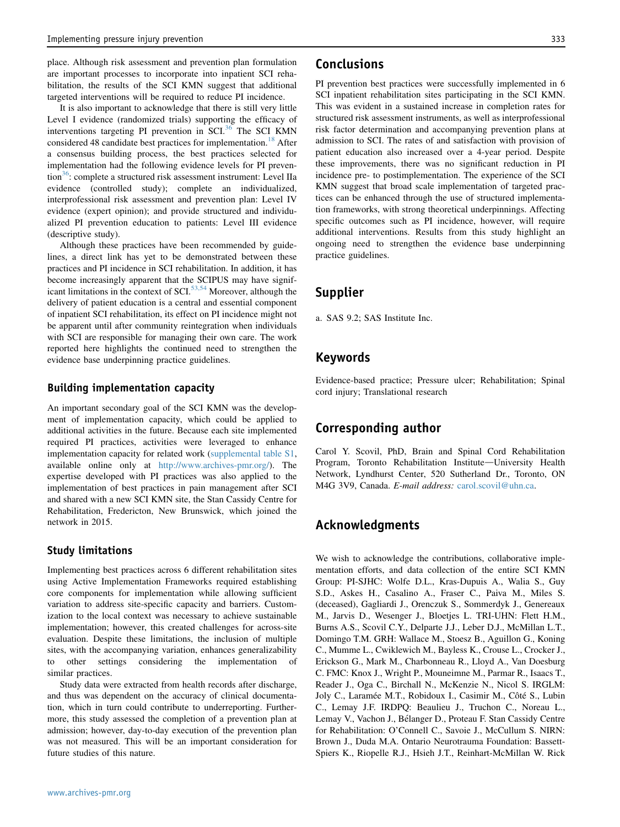place. Although risk assessment and prevention plan formulation are important processes to incorporate into inpatient SCI rehabilitation, the results of the SCI KMN suggest that additional targeted interventions will be required to reduce PI incidence.

It is also important to acknowledge that there is still very little Level I evidence (randomized trials) supporting the efficacy of interventions targeting PI prevention in SCI. $36$  The SCI KMN considered 48 candidate best practices for implementation.<sup>[18](#page-7-0)</sup> After a consensus building process, the best practices selected for implementation had the following evidence levels for PI prevention<sup>36</sup>: complete a structured risk assessment instrument: Level IIa evidence (controlled study); complete an individualized, interprofessional risk assessment and prevention plan: Level IV evidence (expert opinion); and provide structured and individualized PI prevention education to patients: Level III evidence (descriptive study).

Although these practices have been recommended by guidelines, a direct link has yet to be demonstrated between these practices and PI incidence in SCI rehabilitation. In addition, it has become increasingly apparent that the SCIPUS may have signif-icant limitations in the context of SCI.<sup>[53,54](#page-8-0)</sup> Moreover, although the delivery of patient education is a central and essential component of inpatient SCI rehabilitation, its effect on PI incidence might not be apparent until after community reintegration when individuals with SCI are responsible for managing their own care. The work reported here highlights the continued need to strengthen the evidence base underpinning practice guidelines.

#### Building implementation capacity

An important secondary goal of the SCI KMN was the development of implementation capacity, which could be applied to additional activities in the future. Because each site implemented required PI practices, activities were leveraged to enhance implementation capacity for related work (supplemental table S1, available online only at [http://www.archives-pmr.org/\)](http://www.archives-pmr.org/). The expertise developed with PI practices was also applied to the implementation of best practices in pain management after SCI and shared with a new SCI KMN site, the Stan Cassidy Centre for Rehabilitation, Fredericton, New Brunswick, which joined the network in 2015.

#### Study limitations

Implementing best practices across 6 different rehabilitation sites using Active Implementation Frameworks required establishing core components for implementation while allowing sufficient variation to address site-specific capacity and barriers. Customization to the local context was necessary to achieve sustainable implementation; however, this created challenges for across-site evaluation. Despite these limitations, the inclusion of multiple sites, with the accompanying variation, enhances generalizability to other settings considering the implementation of similar practices.

Study data were extracted from health records after discharge, and thus was dependent on the accuracy of clinical documentation, which in turn could contribute to underreporting. Furthermore, this study assessed the completion of a prevention plan at admission; however, day-to-day execution of the prevention plan was not measured. This will be an important consideration for future studies of this nature.

## Conclusions

PI prevention best practices were successfully implemented in 6 SCI inpatient rehabilitation sites participating in the SCI KMN. This was evident in a sustained increase in completion rates for structured risk assessment instruments, as well as interprofessional risk factor determination and accompanying prevention plans at admission to SCI. The rates of and satisfaction with provision of patient education also increased over a 4-year period. Despite these improvements, there was no significant reduction in PI incidence pre- to postimplementation. The experience of the SCI KMN suggest that broad scale implementation of targeted practices can be enhanced through the use of structured implementation frameworks, with strong theoretical underpinnings. Affecting specific outcomes such as PI incidence, however, will require additional interventions. Results from this study highlight an ongoing need to strengthen the evidence base underpinning practice guidelines.

## Supplier

a. SAS 9.2; SAS Institute Inc.

## Keywords

Evidence-based practice; Pressure ulcer; Rehabilitation; Spinal cord injury; Translational research

## Corresponding author

Carol Y. Scovil, PhD, Brain and Spinal Cord Rehabilitation Program, Toronto Rehabilitation Institute-University Health Network, Lyndhurst Center, 520 Sutherland Dr., Toronto, ON M4G 3V9, Canada. E-mail address: [carol.scovil@uhn.ca.](mailto:carol.scovil@uhn.ca)

## Acknowledgments

We wish to acknowledge the contributions, collaborative implementation efforts, and data collection of the entire SCI KMN Group: PI-SJHC: Wolfe D.L., Kras-Dupuis A., Walia S., Guy S.D., Askes H., Casalino A., Fraser C., Paiva M., Miles S. (deceased), Gagliardi J., Orenczuk S., Sommerdyk J., Genereaux M., Jarvis D., Wesenger J., Bloetjes L. TRI-UHN: Flett H.M., Burns A.S., Scovil C.Y., Delparte J.J., Leber D.J., McMillan L.T., Domingo T.M. GRH: Wallace M., Stoesz B., Aguillon G., Koning C., Mumme L., Cwiklewich M., Bayless K., Crouse L., Crocker J., Erickson G., Mark M., Charbonneau R., Lloyd A., Van Doesburg C. FMC: Knox J., Wright P., Mouneimne M., Parmar R., Isaacs T., Reader J., Oga C., Birchall N., McKenzie N., Nicol S. IRGLM: Joly C., Laramée M.T., Robidoux I., Casimir M., Côté S., Lubin C., Lemay J.F. IRDPQ: Beaulieu J., Truchon C., Noreau L., Lemay V., Vachon J., Bélanger D., Proteau F. Stan Cassidy Centre for Rehabilitation: O'Connell C., Savoie J., McCullum S. NIRN: Brown J., Duda M.A. Ontario Neurotrauma Foundation: Bassett-Spiers K., Riopelle R.J., Hsieh J.T., Reinhart-McMillan W. Rick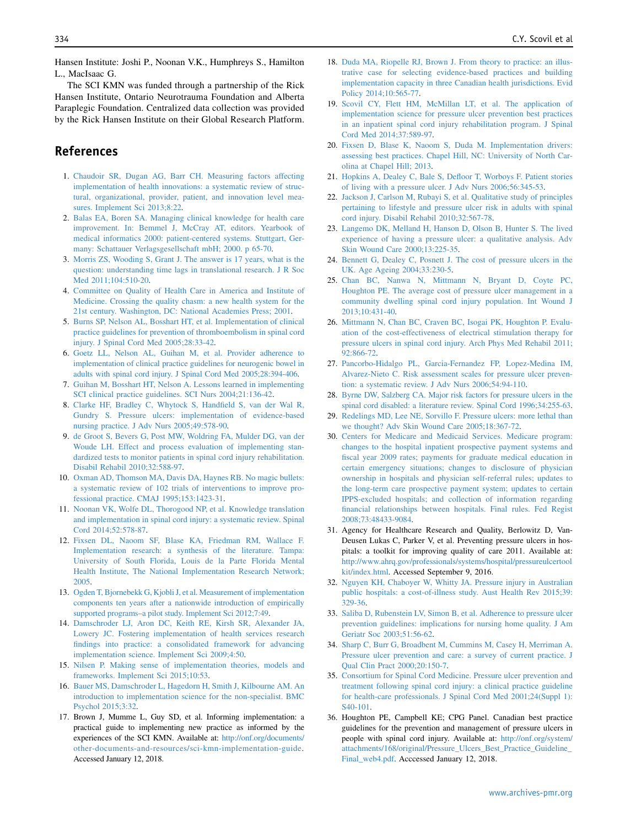<span id="page-7-0"></span>Hansen Institute: Joshi P., Noonan V.K., Humphreys S., Hamilton L., MacIsaac G.

The SCI KMN was funded through a partnership of the Rick Hansen Institute, Ontario Neurotrauma Foundation and Alberta Paraplegic Foundation. Centralized data collection was provided by the Rick Hansen Institute on their Global Research Platform.

## References

- 1. [Chaudoir SR, Dugan AG, Barr CH. Measuring factors affecting](http://refhub.elsevier.com/S0003-9993(18)31447-3/sref1) [implementation of health innovations: a systematic review of struc](http://refhub.elsevier.com/S0003-9993(18)31447-3/sref1)[tural, organizational, provider, patient, and innovation level mea](http://refhub.elsevier.com/S0003-9993(18)31447-3/sref1)[sures. Implement Sci 2013;8:22.](http://refhub.elsevier.com/S0003-9993(18)31447-3/sref1)
- 2. [Balas EA, Boren SA. Managing clinical knowledge for health care](http://refhub.elsevier.com/S0003-9993(18)31447-3/sref2) [improvement. In: Bemmel J, McCray AT, editors. Yearbook of](http://refhub.elsevier.com/S0003-9993(18)31447-3/sref2) [medical informatics 2000: patient-centered systems. Stuttgart, Ger](http://refhub.elsevier.com/S0003-9993(18)31447-3/sref2)[many: Schattauer Verlagsgesellschaft mbH; 2000. p 65-70.](http://refhub.elsevier.com/S0003-9993(18)31447-3/sref2)
- 3. [Morris ZS, Wooding S, Grant J. The answer is 17 years, what is the](http://refhub.elsevier.com/S0003-9993(18)31447-3/sref3) [question: understanding time lags in translational research. J R Soc](http://refhub.elsevier.com/S0003-9993(18)31447-3/sref3) [Med 2011;104:510-20](http://refhub.elsevier.com/S0003-9993(18)31447-3/sref3).
- 4. [Committee on Quality of Health Care in America and Institute of](http://refhub.elsevier.com/S0003-9993(18)31447-3/sref4) [Medicine. Crossing the quality chasm: a new health system for the](http://refhub.elsevier.com/S0003-9993(18)31447-3/sref4) [21st century. Washington, DC: National Academies Press; 2001.](http://refhub.elsevier.com/S0003-9993(18)31447-3/sref4)
- 5. [Burns SP, Nelson AL, Bosshart HT, et al. Implementation of clinical](http://refhub.elsevier.com/S0003-9993(18)31447-3/sref5) [practice guidelines for prevention of thromboembolism in spinal cord](http://refhub.elsevier.com/S0003-9993(18)31447-3/sref5) [injury. J Spinal Cord Med 2005;28:33-42.](http://refhub.elsevier.com/S0003-9993(18)31447-3/sref5)
- 6. [Goetz LL, Nelson AL, Guihan M, et al. Provider adherence to](http://refhub.elsevier.com/S0003-9993(18)31447-3/sref6) [implementation of clinical practice guidelines for neurogenic bowel in](http://refhub.elsevier.com/S0003-9993(18)31447-3/sref6) [adults with spinal cord injury. J Spinal Cord Med 2005;28:394-406.](http://refhub.elsevier.com/S0003-9993(18)31447-3/sref6)
- 7. [Guihan M, Bosshart HT, Nelson A. Lessons learned in implementing](http://refhub.elsevier.com/S0003-9993(18)31447-3/sref7) [SCI clinical practice guidelines. SCI Nurs 2004;21:136-42.](http://refhub.elsevier.com/S0003-9993(18)31447-3/sref7)
- 8. [Clarke HF, Bradley C, Whytock S, Handfield S, van der Wal R,](http://refhub.elsevier.com/S0003-9993(18)31447-3/sref8) [Gundry S. Pressure ulcers: implementation of evidence-based](http://refhub.elsevier.com/S0003-9993(18)31447-3/sref8) [nursing practice. J Adv Nurs 2005;49:578-90](http://refhub.elsevier.com/S0003-9993(18)31447-3/sref8).
- 9. [de Groot S, Bevers G, Post MW, Woldring FA, Mulder DG, van der](http://refhub.elsevier.com/S0003-9993(18)31447-3/sref9) [Woude LH. Effect and process evaluation of implementing stan](http://refhub.elsevier.com/S0003-9993(18)31447-3/sref9)[dardized tests to monitor patients in spinal cord injury rehabilitation.](http://refhub.elsevier.com/S0003-9993(18)31447-3/sref9) [Disabil Rehabil 2010;32:588-97](http://refhub.elsevier.com/S0003-9993(18)31447-3/sref9).
- 10. [Oxman AD, Thomson MA, Davis DA, Haynes RB. No magic bullets:](http://refhub.elsevier.com/S0003-9993(18)31447-3/sref10) [a systematic review of 102 trials of interventions to improve pro](http://refhub.elsevier.com/S0003-9993(18)31447-3/sref10)[fessional practice. CMAJ 1995;153:1423-31.](http://refhub.elsevier.com/S0003-9993(18)31447-3/sref10)
- 11. [Noonan VK, Wolfe DL, Thorogood NP, et al. Knowledge translation](http://refhub.elsevier.com/S0003-9993(18)31447-3/sref11) [and implementation in spinal cord injury: a systematic review. Spinal](http://refhub.elsevier.com/S0003-9993(18)31447-3/sref11) [Cord 2014;52:578-87.](http://refhub.elsevier.com/S0003-9993(18)31447-3/sref11)
- 12. [Fixsen DL, Naoom SF, Blase KA, Friedman RM, Wallace F.](http://refhub.elsevier.com/S0003-9993(18)31447-3/sref12) [Implementation research: a synthesis of the literature. Tampa:](http://refhub.elsevier.com/S0003-9993(18)31447-3/sref12) [University of South Florida, Louis de la Parte Florida Mental](http://refhub.elsevier.com/S0003-9993(18)31447-3/sref12) [Health Institute, The National Implementation Research Network;](http://refhub.elsevier.com/S0003-9993(18)31447-3/sref12) [2005](http://refhub.elsevier.com/S0003-9993(18)31447-3/sref12).
- 13. [Ogden T, Bjornebekk G, Kjobli J, et al. Measurement of implementation](http://refhub.elsevier.com/S0003-9993(18)31447-3/sref13) [components ten years after a nationwide introduction of empirically](http://refhub.elsevier.com/S0003-9993(18)31447-3/sref13) [supported programs–a pilot study. Implement Sci 2012;7:49](http://refhub.elsevier.com/S0003-9993(18)31447-3/sref13).
- 14. [Damschroder LJ, Aron DC, Keith RE, Kirsh SR, Alexander JA,](http://refhub.elsevier.com/S0003-9993(18)31447-3/sref14) [Lowery JC. Fostering implementation of health services research](http://refhub.elsevier.com/S0003-9993(18)31447-3/sref14) [findings into practice: a consolidated framework for advancing](http://refhub.elsevier.com/S0003-9993(18)31447-3/sref14) [implementation science. Implement Sci 2009;4:50.](http://refhub.elsevier.com/S0003-9993(18)31447-3/sref14)
- 15. [Nilsen P. Making sense of implementation theories, models and](http://refhub.elsevier.com/S0003-9993(18)31447-3/sref15) [frameworks. Implement Sci 2015;10:53](http://refhub.elsevier.com/S0003-9993(18)31447-3/sref15).
- 16. [Bauer MS, Damschroder L, Hagedorn H, Smith J, Kilbourne AM. An](http://refhub.elsevier.com/S0003-9993(18)31447-3/sref16) [introduction to implementation science for the non-specialist. BMC](http://refhub.elsevier.com/S0003-9993(18)31447-3/sref16) [Psychol 2015;3:32.](http://refhub.elsevier.com/S0003-9993(18)31447-3/sref16)
- 17. Brown J, Mumme L, Guy SD, et al. Informing implementation: a practical guide to implementing new practice as informed by the experiences of the SCI KMN. Available at: [http://onf.org/documents/](http://onf.org/documents/other-documents-and-resources/sci-kmn-implementation-guide) [other-documents-and-resources/sci-kmn-implementation-guide](http://onf.org/documents/other-documents-and-resources/sci-kmn-implementation-guide). Accessed January 12, 2018.
- 18. [Duda MA, Riopelle RJ, Brown J. From theory to practice: an illus](http://refhub.elsevier.com/S0003-9993(18)31447-3/sref18)[trative case for selecting evidence-based practices and building](http://refhub.elsevier.com/S0003-9993(18)31447-3/sref18) [implementation capacity in three Canadian health jurisdictions. Evid](http://refhub.elsevier.com/S0003-9993(18)31447-3/sref18) [Policy 2014;10:565-77](http://refhub.elsevier.com/S0003-9993(18)31447-3/sref18).
- 19. [Scovil CY, Flett HM, McMillan LT, et al. The application of](http://refhub.elsevier.com/S0003-9993(18)31447-3/sref19) [implementation science for pressure ulcer prevention best practices](http://refhub.elsevier.com/S0003-9993(18)31447-3/sref19) [in an inpatient spinal cord injury rehabilitation program. J Spinal](http://refhub.elsevier.com/S0003-9993(18)31447-3/sref19) [Cord Med 2014;37:589-97](http://refhub.elsevier.com/S0003-9993(18)31447-3/sref19).
- 20. [Fixsen D, Blase K, Naoom S, Duda M. Implementation drivers:](http://refhub.elsevier.com/S0003-9993(18)31447-3/sref20) [assessing best practices. Chapel Hill, NC: University of North Car](http://refhub.elsevier.com/S0003-9993(18)31447-3/sref20)[olina at Chapel Hill; 2013.](http://refhub.elsevier.com/S0003-9993(18)31447-3/sref20)
- 21. [Hopkins A, Dealey C, Bale S, Defloor T, Worboys F. Patient stories](http://refhub.elsevier.com/S0003-9993(18)31447-3/sref21) [of living with a pressure ulcer. J Adv Nurs 2006;56:345-53.](http://refhub.elsevier.com/S0003-9993(18)31447-3/sref21)
- 22. [Jackson J, Carlson M, Rubayi S, et al. Qualitative study of principles](http://refhub.elsevier.com/S0003-9993(18)31447-3/sref22) [pertaining to lifestyle and pressure ulcer risk in adults with spinal](http://refhub.elsevier.com/S0003-9993(18)31447-3/sref22) [cord injury. Disabil Rehabil 2010;32:567-78](http://refhub.elsevier.com/S0003-9993(18)31447-3/sref22).
- 23. [Langemo DK, Melland H, Hanson D, Olson B, Hunter S. The lived](http://refhub.elsevier.com/S0003-9993(18)31447-3/sref23) [experience of having a pressure ulcer: a qualitative analysis. Adv](http://refhub.elsevier.com/S0003-9993(18)31447-3/sref23) [Skin Wound Care 2000;13:225-35.](http://refhub.elsevier.com/S0003-9993(18)31447-3/sref23)
- 24. [Bennett G, Dealey C, Posnett J. The cost of pressure ulcers in the](http://refhub.elsevier.com/S0003-9993(18)31447-3/sref24) [UK. Age Ageing 2004;33:230-5](http://refhub.elsevier.com/S0003-9993(18)31447-3/sref24).
- 25. [Chan BC, Nanwa N, Mittmann N, Bryant D, Coyte PC,](http://refhub.elsevier.com/S0003-9993(18)31447-3/sref25) [Houghton PE. The average cost of pressure ulcer management in a](http://refhub.elsevier.com/S0003-9993(18)31447-3/sref25) [community dwelling spinal cord injury population. Int Wound J](http://refhub.elsevier.com/S0003-9993(18)31447-3/sref25) [2013;10:431-40](http://refhub.elsevier.com/S0003-9993(18)31447-3/sref25).
- 26. [Mittmann N, Chan BC, Craven BC, Isogai PK, Houghton P. Evalu](http://refhub.elsevier.com/S0003-9993(18)31447-3/sref26)[ation of the cost-effectiveness of electrical stimulation therapy for](http://refhub.elsevier.com/S0003-9993(18)31447-3/sref26) [pressure ulcers in spinal cord injury. Arch Phys Med Rehabil 2011;](http://refhub.elsevier.com/S0003-9993(18)31447-3/sref26) [92:866-72](http://refhub.elsevier.com/S0003-9993(18)31447-3/sref26).
- 27. [Pancorbo-Hidalgo PL, Garcia-Fernandez FP, Lopez-Medina IM,](http://refhub.elsevier.com/S0003-9993(18)31447-3/sref27) [Alvarez-Nieto C. Risk assessment scales for pressure ulcer preven](http://refhub.elsevier.com/S0003-9993(18)31447-3/sref27)[tion: a systematic review. J Adv Nurs 2006;54:94-110](http://refhub.elsevier.com/S0003-9993(18)31447-3/sref27).
- 28. [Byrne DW, Salzberg CA. Major risk factors for pressure ulcers in the](http://refhub.elsevier.com/S0003-9993(18)31447-3/sref28) [spinal cord disabled: a literature review. Spinal Cord 1996;34:255-63.](http://refhub.elsevier.com/S0003-9993(18)31447-3/sref28)
- 29. [Redelings MD, Lee NE, Sorvillo F. Pressure ulcers: more lethal than](http://refhub.elsevier.com/S0003-9993(18)31447-3/sref29) [we thought? Adv Skin Wound Care 2005;18:367-72](http://refhub.elsevier.com/S0003-9993(18)31447-3/sref29).
- 30. [Centers for Medicare and Medicaid Services. Medicare program:](http://refhub.elsevier.com/S0003-9993(18)31447-3/sref30) [changes to the hospital inpatient prospective payment systems and](http://refhub.elsevier.com/S0003-9993(18)31447-3/sref30) [fiscal year 2009 rates; payments for graduate medical education in](http://refhub.elsevier.com/S0003-9993(18)31447-3/sref30) [certain emergency situations; changes to disclosure of physician](http://refhub.elsevier.com/S0003-9993(18)31447-3/sref30) [ownership in hospitals and physician self-referral rules; updates to](http://refhub.elsevier.com/S0003-9993(18)31447-3/sref30) [the long-term care prospective payment system; updates to certain](http://refhub.elsevier.com/S0003-9993(18)31447-3/sref30) [IPPS-excluded hospitals; and collection of information regarding](http://refhub.elsevier.com/S0003-9993(18)31447-3/sref30) [financial relationships between hospitals. Final rules. Fed Regist](http://refhub.elsevier.com/S0003-9993(18)31447-3/sref30) [2008;73:48433-9084](http://refhub.elsevier.com/S0003-9993(18)31447-3/sref30).
- 31. Agency for Healthcare Research and Quality, Berlowitz D, Van-Deusen Lukas C, Parker V, et al. Preventing pressure ulcers in hospitals: a toolkit for improving quality of care 2011. Available at: [http://www.ahrq.gov/professionals/systems/hospital/pressureulcertool](http://www.ahrq.gov/professionals/systems/hospital/pressureulcertoolkit/index.html) [kit/index.html](http://www.ahrq.gov/professionals/systems/hospital/pressureulcertoolkit/index.html). Accessed September 9, 2016.
- 32. [Nguyen KH, Chaboyer W, Whitty JA. Pressure injury in Australian](http://refhub.elsevier.com/S0003-9993(18)31447-3/sref32) [public hospitals: a cost-of-illness study. Aust Health Rev 2015;39:](http://refhub.elsevier.com/S0003-9993(18)31447-3/sref32) [329-36.](http://refhub.elsevier.com/S0003-9993(18)31447-3/sref32)
- 33. [Saliba D, Rubenstein LV, Simon B, et al. Adherence to pressure ulcer](http://refhub.elsevier.com/S0003-9993(18)31447-3/sref33) [prevention guidelines: implications for nursing home quality. J Am](http://refhub.elsevier.com/S0003-9993(18)31447-3/sref33) [Geriatr Soc 2003;51:56-62](http://refhub.elsevier.com/S0003-9993(18)31447-3/sref33).
- 34. [Sharp C, Burr G, Broadbent M, Cummins M, Casey H, Merriman A.](http://refhub.elsevier.com/S0003-9993(18)31447-3/sref34) [Pressure ulcer prevention and care: a survey of current practice. J](http://refhub.elsevier.com/S0003-9993(18)31447-3/sref34) [Qual Clin Pract 2000;20:150-7.](http://refhub.elsevier.com/S0003-9993(18)31447-3/sref34)
- 35. [Consortium for Spinal Cord Medicine. Pressure ulcer prevention and](http://refhub.elsevier.com/S0003-9993(18)31447-3/sref35) [treatment following spinal cord injury: a clinical practice guideline](http://refhub.elsevier.com/S0003-9993(18)31447-3/sref35) [for health-care professionals. J Spinal Cord Med 2001;24\(Suppl 1\):](http://refhub.elsevier.com/S0003-9993(18)31447-3/sref35) [S40-101](http://refhub.elsevier.com/S0003-9993(18)31447-3/sref35).
- 36. Houghton PE, Campbell KE; CPG Panel. Canadian best practice guidelines for the prevention and management of pressure ulcers in people with spinal cord injury. Available at: [http://onf.org/system/](http://onf.org/system/attachments/168/original/Pressure_Ulcers_Best_Practice_Guideline_Final_web4.pdf) [attachments/168/original/Pressure\\_Ulcers\\_Best\\_Practice\\_Guideline\\_](http://onf.org/system/attachments/168/original/Pressure_Ulcers_Best_Practice_Guideline_Final_web4.pdf) [Final\\_web4.pdf.](http://onf.org/system/attachments/168/original/Pressure_Ulcers_Best_Practice_Guideline_Final_web4.pdf) Acccessed January 12, 2018.